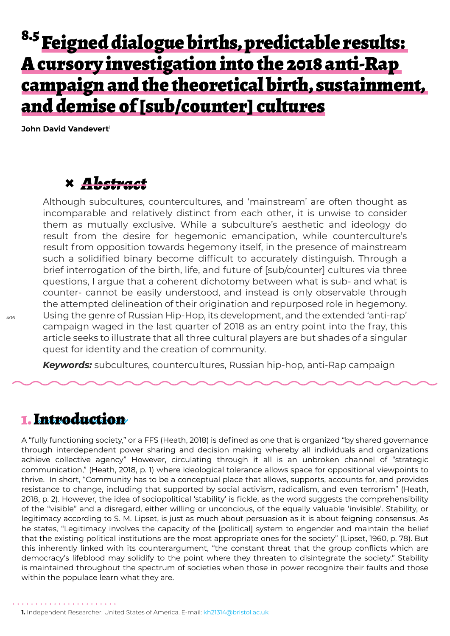# <sup>8.5</sup> Feigned dialogue births, predictable results: A cursory investigation into the 2018 anti-Rap campaign and the theoretical birth, sustainment, and demise of [sub/counter] cultures

**John David Vandevert** 

### **×** *Abstract*

Although subcultures, countercultures, and 'mainstream' are often thought as incomparable and relatively distinct from each other, it is unwise to consider them as mutually exclusive. While a subculture's aesthetic and ideology do result from the desire for hegemonic emancipation, while counterculture's result from opposition towards hegemony itself, in the presence of mainstream such a solidified binary become difficult to accurately distinguish. Through a brief interrogation of the birth, life, and future of [sub/counter] cultures via three questions, I argue that a coherent dichotomy between what is sub- and what is counter- cannot be easily understood, and instead is only observable through the attempted delineation of their origination and repurposed role in hegemony. Using the genre of Russian Hip-Hop, its development, and the extended 'anti-rap' campaign waged in the last quarter of 2018 as an entry point into the fray, this article seeks to illustrate that all three cultural players are but shades of a singular quest for identity and the creation of community.

*Keywords:* subcultures, countercultures, Russian hip-hop, anti-Rap campaign

### 1. Introduction

. . . . . . . . . . . . . . . . . . .

A "fully functioning society," or a FFS (Heath, 2018) is defined as one that is organized "by shared governance through interdependent power sharing and decision making whereby all individuals and organizations achieve collective agency" However, circulating through it all is an unbroken channel of "strategic communication," (Heath, 2018, p. 1) where ideological tolerance allows space for oppositional viewpoints to thrive. In short, "Community has to be a conceptual place that allows, supports, accounts for, and provides resistance to change, including that supported by social activism, radicalism, and even terrorism" (Heath, 2018, p. 2). However, the idea of sociopolitical 'stability' is fickle, as the word suggests the comprehensibility of the "visible" and a disregard, either willing or unconcious, of the equally valuable 'invisible'. Stability, or legitimacy according to S. M. Lipset, is just as much about persuasion as it is about feigning consensus. As he states, "Legitimacy involves the capacity of the [political] system to engender and maintain the belief that the existing political institutions are the most appropriate ones for the society" (Lipset, 1960, p. 78). But this inherently linked with its counterargument, "the constant threat that the group conflicts which are democracy's lifeblood may solidify to the point where they threaten to disintegrate the society." Stability is maintained throughout the spectrum of societies when those in power recognize their faults and those within the populace learn what they are.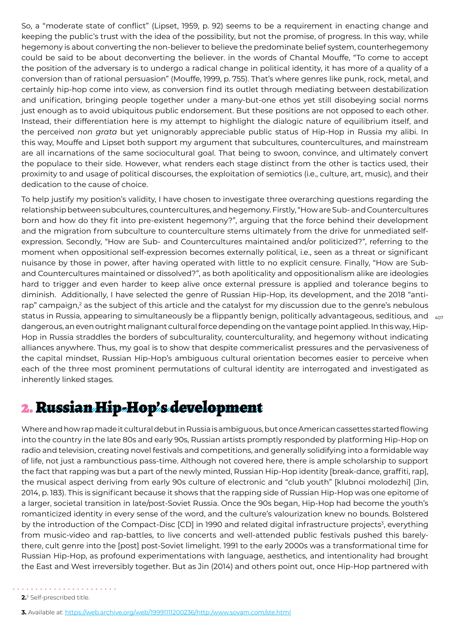So, a "moderate state of conflict" (Lipset, 1959, p. 92) seems to be a requirement in enacting change and keeping the public's trust with the idea of the possibility, but not the promise, of progress. In this way, while hegemony is about converting the non-believer to believe the predominate belief system, counterhegemony could be said to be about deconverting the believer. in the words of Chantal Mouffe, "To come to accept the position of the adversary is to undergo a radical change in political identity, it has more of a quality of a conversion than of rational persuasion" [\(Mouffe, 1999, p. 755\).](https://www.jstor.org/stable/40971349) That's where genres like punk, rock, metal, and certainly hip-hop come into view, as conversion find its outlet through mediating between destabilization and unification, bringing people together under a many-but-one ethos yet still disobeying social norms just enough as to avoid ubiquitous public endorsement. But these positions are not opposed to each other. Instead, their differentiation here is my attempt to highlight the dialogic nature of equilibrium itself, and the perceived *non grata* but yet unignorably appreciable public status of Hip-Hop in Russia my alibi. In this way, Mouffe and Lipset both support my argument that subcultures, countercultures, and mainstream are all incarnations of the same sociocultural goal. That being to swoon, convince, and ultimately convert the populace to their side. However, what renders each stage distinct from the other is tactics used, their proximity to and usage of political discourses, the exploitation of semiotics (i.e., culture, art, music), and their dedication to the cause of choice.

status in Russia, appearing to simultaneously be a flippantly benign, politically advantageous, seditious, and  $\,$   $_{407}$ To help justify my position's validity, I have chosen to investigate three overarching questions regarding the relationship between subcultures, countercultures, and hegemony. Firstly, "How are Sub- and Countercultures born and how do they fit into pre-existent hegemony?", arguing that the force behind their development and the migration from subculture to counterculture stems ultimately from the drive for unmediated selfexpression. Secondly, "How are Sub- and Countercultures maintained and/or politicized?", referring to the moment when oppositional self-expression becomes externally political, i.e., seen as a threat or significant nuisance by those in power, after having operated with little to no explicit censure. Finally, "How are Suband Countercultures maintained or dissolved?", as both apoliticality and oppositionalism alike are ideologies hard to trigger and even harder to keep alive once external pressure is applied and tolerance begins to diminish. Additionally, I have selected the genre of Russian Hip-Hop, its development, and the 2018 "antirap" campaign, $^2$  as the subject of this article and the catalyst for my discussion due to the genre's nebulous dangerous, an even outright malignant cultural force depending on the vantage point applied. In this way, Hip-Hop in Russia straddles the borders of subculturality, counterculturality, and hegemony without indicating alliances anywhere. Thus, my goal is to show that despite commericalist pressures and the pervasiveness of the capital mindset, Russian Hip-Hop's ambiguous cultural orientation becomes easier to perceive when each of the three most prominent permutations of cultural identity are interrogated and investigated as inherently linked stages.

## 2. Russian Hip-Hop's development

Where and how rap made it cultural debut in Russia is ambiguous, but once American cassettes started flowing into the country in the late 80s and early 90s, Russian artists promptly responded by platforming Hip-Hop on radio and television, creating novel festivals and competitions, and generally solidifying into a formidable way of life, not just a rambunctious pass-time. Although not covered here, there is ample scholarship to support the fact that rapping was but a part of the newly minted, Russian Hip-Hop identity [break-dance, graffiti, rap], the musical aspect deriving from early 90s culture of electronic and "club youth" [klubnoi molodezhi] (Jin, 2014, p. 183). This is significant because it shows that the rapping side of Russian Hip-Hop was one epitome of a larger, societal transition in late/post-Soviet Russia. Once the 90s began, Hip-Hop had become the youth's romanticized identity in every sense of the word, and the culture's valourization knew no bounds. Bolstered by the introduction of the Compact-Disc [CD] in 1990 and related digital infrastructure projects<sup>3</sup>, everything from music-video and rap-battles, to live concerts and well-attended public festivals pushed this barelythere, cult genre into the [post] post-Soviet limelight. 1991 to the early 2000s was a transformational time for Russian Hip-Hop, as profound experimentations with language, aesthetics, and intentionality had brought the East and West irreversibly together. But as Jin (2014) and others point out, once Hip-Hop partnered with

**<sup>3.</sup>** Available at: https://web.archive.org/web/19991111200236/http:/www.sovam.com/ste.html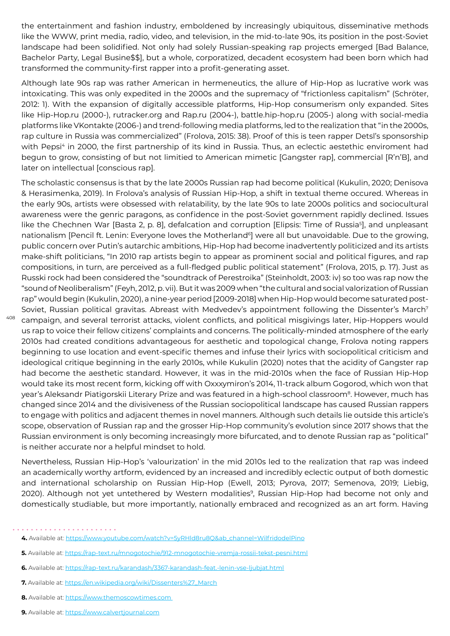the entertainment and fashion industry, emboldened by increasingly ubiquitous, disseminative methods like the WWW, print media, radio, video, and television, in the mid-to-late 90s, its position in the post-Soviet landscape had been solidified. Not only had solely Russian-speaking rap projects emerged [Bad Balance, Bachelor Party, Legal Busine\$\$], but a whole, corporatized, decadent ecosystem had been born which had transformed the community-first rapper into a profit-generating asset.

Although late 90s rap was rather American in hermeneutics, the allure of Hip-Hop as lucrative work was intoxicating. This was only expedited in the 2000s and the supremacy of "frictionless capitalism" (Schröter, 2012: 1). With the expansion of digitally accessible platforms, Hip-Hop consumerism only expanded. Sites like Hip-Hop.ru (2000-), rutracker.org and Rap.ru (2004-), battle.hip-hop.ru (2005-) along with social-media platforms like VKontakte (2006-) and trend-following media platforms, led to the realization that "in the 2000s, rap culture in Russia was commercialized" (Frolova, 2015: 38). Proof of this is teen rapper Detsl's sponsorship with Pepsi<sup>4</sup> in 2000, the first partnership of its kind in Russia. Thus, an eclectic aestethic enviroment had begun to grow, consisting of but not limitied to American mimetic [Gangster rap], commercial [R'n'B], and later on intellectual [conscious rap].

The scholastic consensus is that by the late 2000s Russian rap had become political ([Kukulin, 2020](https://www.sciencedirect.com/science/article/pii/S0304347920301022); Denisova & Herasimenka, 2019). In Frolova's analysis of Russian Hip-Hop, a shift in textual theme occured. Whereas in the early 90s, artists were obsessed with relatability, by the late 90s to late 2000s politics and sociocultural awareness were the genric paragons, as confidence in the post-Soviet government rapidly declined. Issues like the Chechnen War [Basta 2, p. 8], defalcation and corruption [[Elipsis: Time of Russia](https://rap-text.ru/mnogotochie/912-mnogotochie-vremja-rossii-tekst-pesni.html)<sup>s</sup>], and unpleasant nationalism [[Pencil ft. Lenin: Everyone loves the Motherland](https://rap-text.ru/karandash/3367-karandash-feat.-lenin-vse-ljubjat.html)<sup>6</sup>] were all but unavoidable. Due to the growing, public concern over Putin's autarchic ambitions, Hip-Hop had become inadvertently politicized and its artists make-shift politicians, "In 2010 rap artists begin to appear as prominent social and political figures, and rap compositions, in turn, are perceived as a full-fledged public political statement" (Frolova, 2015, p. 17). Just as Russki rock had been considered the "soundtrack of Perestroika" [\(Steinholdt, 2003](https://munin.uit.no/handle/10037/3704): iv) so too was rap now the "sound of Neoliberalism" (Feyh, 2012, p. vii). But it was 2009 when "the cultural and social valorization of Russian rap" would begin (Kukulin, 2020), a nine-year period [2009-2018] when Hip-Hop would become saturated post-Soviet, Russian political gravitas. Abreast with Medvedev's appointment following the [Dissenter's March](https://en.wikipedia.org/wiki/Dissenters%27_March)<sup>7</sup> campaign, and several terrorist attacks, violent conflicts, and political misgivings later, Hip-Hoppers would us rap to voice their fellow citizens' complaints and concerns. The politically-minded atmosphere of the early 2010s had created conditions advantageous for aesthetic and topological change, Frolova noting rappers beginning to use location and event-specific themes and infuse their lyrics with sociopolitical criticism and ideological critique beginning in the early 2010s, while Kukulin (2020) notes that the acidity of Gangster rap had become the aesthetic standard. However, it was in the mid-2010s when the face of Russian Hip-Hop would take its most recent form, kicking off with Oxxxymiron's 2014, 11-track album Gogorod, which won that year's Aleksandr Piatigorskii Literary Prize and was featured in a high-school classroom<sup>8</sup>. However, much has changed since 2014 and the divisiveness of the Russian sociopolitical landscape has caused Russian rappers to engage with politics and adjacent themes in novel manners. Although such details lie outside this article's scope, observation of Russian rap and the grosser Hip-Hop community's evolution since 2017 shows that the Russian environment is only becoming increasingly more bifurcated, and to denote Russian rap as "political" is neither accurate nor a helpful mindset to hold.

Nevertheless, Russian Hip-Hop's 'valourization' in the mid 2010s led to the realization that rap was indeed an academically worthy artform, evidenced by an increased and incredibly eclectic output of both domestic and international scholarship on Russian Hip-Hop (Ewell, 2013; Pyrova, 2017; Semenova, 2019; Liebig, 2020). Although not yet untethered by Western modalities<sup>9</sup>, Russian Hip-Hop had become not only and domestically studiable, but more importantly, nationally embraced and recognized as an art form. Having

**<sup>4.</sup>** Available at: https://www.youtube.com/watch?v=5yRHld8ru8Q&ab\_channel=WilfridodelPino

**<sup>5.</sup>** Available at: https://rap-text.ru/mnogotochie/912-mnogotochie-vremja-rossii-tekst-pesni.html

**<sup>6.</sup>** Available at: https://rap-text.ru/karandash/3367-karandash-feat.-lenin-vse-ljubjat.html

**<sup>7.</sup>** Available at: https://en.wikipedia.org/wiki/Dissenters%27\_March

<sup>8.</sup> Available at: https://www.themoscowtimes.com

<sup>9.</sup> Available at: https://www.calvertjournal.com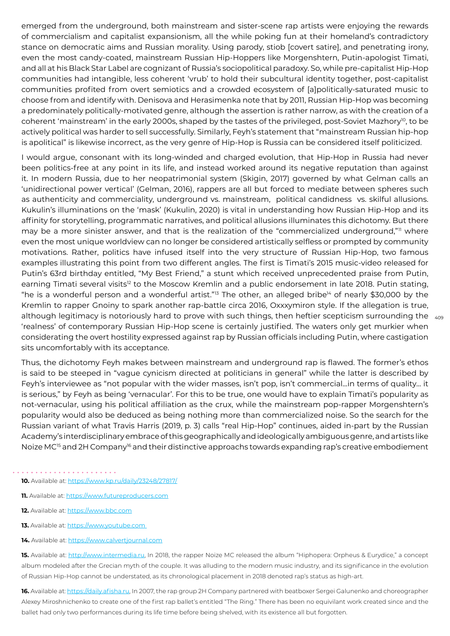emerged from the underground, both mainstream and sister-scene rap artists were enjoying the rewards of commercialism and capitalist expansionism, all the while poking fun at their homeland's contradictory stance on democratic aims and Russian morality. Using parody, stiob [covert satire], and penetrating irony, even the most candy-coated, mainstream Russian Hip-Hoppers like Morgenshtern, Putin-apologist Timati, and all at his Black Star Label are cognizant of Russia's sociopolitical paradoxy. So, while pre-capitalist Hip-Hop communities had intangible, less coherent 'vrub' to hold their subcultural identity together, post-capitalist communities profited from overt semiotics and a crowded ecosystem of [a]politically-saturated music to choose from and identify with. Denisova and Herasimenka note that by 2011, Russian Hip-Hop was becoming a predominately politically-motivated genre, although the assertion is rather narrow, as with the creation of a coherent 'mainstream' in the early 2000s, shaped by the tastes of the privileged, post-Soviet Mazhory<sup>10</sup>, to be actively political was harder to sell successfully. Similarly, Feyh's statement that "mainstream Russian hip-hop is apolitical" is likewise incorrect, as the very genre of Hip-Hop is Russia can be considered itself politicized.

although legitimacy is notoriously hard to prove with such things, then heftier scepticism surrounding the  $\,$   $_{\rm 408}$ I would argue, consonant with its long-winded and charged evolution, that Hip-Hop in Russia had never been politics-free at any point in its life, and instead worked around its negative reputation than against it. In modern Russia, due to her neopatrimonial system ([Skigin, 2017\)](https://ideopol.org/wp-content/uploads/2018/01/________2.3.%20ENG.%20Skigin%20Final.pdf) governed by what Gelman calls an 'unidirectional power vertical' (Gelman, 2016), rappers are all but forced to mediate between spheres such as authenticity and commerciality, underground vs. mainstream, political candidness vs. skilful allusions. Kukulin's illuminations on the 'mask' (Kukulin, 2020) is vital in understanding how Russian Hip-Hop and its affinity for storytelling, programmatic narratives, and political allusions illuminates this dichotomy. But there may be a more sinister answer, and that is the realization of the "commercialized underground,"<sup>11</sup> where even the most unique worldview can no longer be considered artistically selfless or prompted by community motivations. Rather, politics have infused itself into the very structure of Russian Hip-Hop, two famous examples illustrating this point from two different angles. The first is Timati's 2015 music-video released for Putin's 63rd birthday entitled, "My Best Friend," a stunt which received unprecedented praise from Putin, earning Timati several visits<sup>12</sup> to the Moscow Kremlin and a public endorsement in late 2018. Putin stating, "he is a wonderful person and a wonderful artist."<sup>13</sup> The other, an alleged bribe<sup>14</sup> of nearly \$30,000 by the Kremlin to rapper Gnoiny to spark another rap-battle circa 2016, Oxxxymiron style. If the allegation is true, 'realness' of contemporary Russian Hip-Hop scene is certainly justified. The waters only get murkier when considerating the overt hostility expressed against rap by Russian officials including Putin, where castigation sits uncomfortably with its acceptance.

Thus, the dichotomy Feyh makes between mainstream and underground rap is flawed. The former's ethos is said to be steeped in "vague cynicism directed at politicians in general" while the latter is described by Feyh's interviewee as "not popular with the wider masses, isn't pop, isn't commercial...in terms of quality... it is serious," by Feyh as being 'vernacular'. For this to be true, one would have to explain Timati's popularity as not-vernacular, using his political affiliation as the crux, while the mainstream pop-rapper Morgenshtern's popularity would also be deduced as being nothing more than commercialized noise. So the search for the Russian variant of what Travis Harris [\(2019, p. 3\)](https://core.ac.uk/download/pdf/250596092.pdf) calls "real Hip-Hop" continues, aided in-part by the Russian Academy's interdisciplinary embrace of this geographically and ideologically ambiguous genre, and artists like Noize MC<sup>15</sup> and 2H Company<sup>16</sup> and their distinctive approachs towards expanding rap's creative embodiement

- **10.** Available at: https://www.kp.ru/daily/23248/27817/
- **11.** Available at: https://www.futureproducers.com
- **12.** Available at: https://www.bbc.com
- **13.** Available at: https://www.youtube.com
- 14. Available at: https://www.calvertjournal.com

**15.** Available at: http://www.intermedia.ru, In 2018, the rapper Noize MC released the album "Hiphopera: Orpheus & Eurydice," a concept album modeled after the Grecian myth of the couple. It was alluding to the modern music industry, and its significance in the evolution of Russian Hip-Hop cannot be understated, as its chronological placement in 2018 denoted rap's status as high-art.

**16.** Available at: https://daily.afisha.ru, In 2007, the rap group 2H Company partnered with beatboxer Sergei Galunenko and choreographer Alexey Miroshnichenko to create one of the first rap ballet's entitled "The Ring." There has been no equivilant work created since and the ballet had only two performances during its life time before being shelved, with its existence all but forgotten.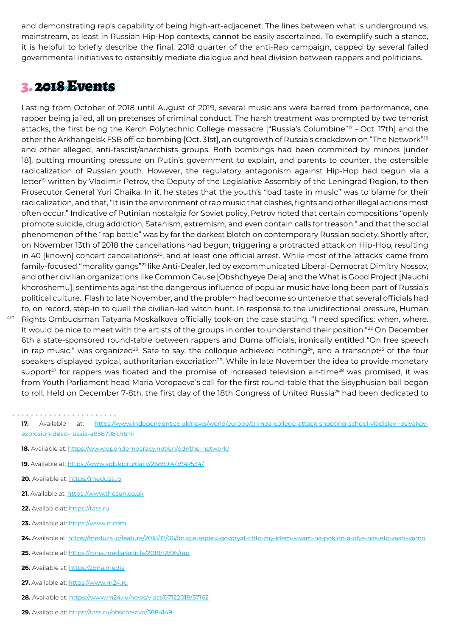and demonstrating rap's capability of being high-art-adjacenet. The lines between what is underground vs. mainstream, at least in Russian Hip-Hop contexts, cannot be easily ascertained. To exemplify such a stance, it is helpful to briefly describe the final, 2018 quarter of the anti-Rap campaign, capped by several failed governmental initiatives to ostensibly mediate dialogue and heal division between rappers and politicians.

### 3. 2018 Events

Lasting from October of 2018 until August of 2019, several musicians were barred from performance, one rapper being jailed, all on pretenses of criminal conduct. The harsh treatment was prompted by two terrorist attacks, the first being the Kerch Polytechnic College massacre ["[Russia's Columbine"](https://www.independent.co.uk/news/world/europe/crimea-college-attack-shooting-school-vladislav-roslyakov-explosion-dead-russia-a8587981.html)17 - Oct. 17th] and the other the Arkhangelsk FSB office bombing [Oct. 31st], an outgrowth of Russia's crackdown on "[The Network"](https://www.opendemocracy.net/en/odr/the-network/)<sup>18</sup> and other alleged, anti-fascist/anarchists groups. Both bombings had been commited by minors [under 18], putting mounting pressure on Putin's government to explain, and parents to counter, the ostensible radicalization of Russian youth. However, the regulatory antagonism against Hip-Hop had begun via a [letter](https://www.spb.kp.ru/daily/26899.4/3947534/)<sup>19</sup> written by Vladimir Petrov, the Deputy of the Legislative Assembly of the Leningrad Region, to then Prosecutor General Yuri Chaika. In it, he states that the youth's "bad taste in music" was to blame for their radicalization, and that, "It is in the environment of rap music that clashes, fights and other illegal actions most often occur." Indicative of Putinian nostalgia for Soviet policy, Petrov noted that certain compositions "openly promote suicide, drug addiction, Satanism, extremism, and even contain calls for treason," and that the social phenomenon of the "rap battle" was by far the darkest blotch on contemporary Russian society. Shortly after, on November 13th of 2018 the cancellations had begun, triggering a protracted attack on Hip-Hop, resulting in 40 [known] concert cancellations<sup>20</sup>, and at least one official arrest. While most of the 'attacks' came from family-focused "morality gangs"21 like Anti-Dealer, led by excommunicated Liberal-Democrat Dimitry Nossov, and other civilian organizations like Common Cause [Obshchyeye Dela] and the What is Good Project [Nauchi khoroshemu], sentiments against the dangerous influence of popular music have long been part of Russia's political culture. Flash to late November, and the problem had become so untenable that several officials had to, on record, step-in to quell the civilian-led witch hunt. In response to the unidirectional pressure, Human Rights Ombudsman Tatyana Moskalkova officially took-on the case stating, "I need specifics: when, where. It would be nice to meet with the artists of the groups in order to understand their position."<sup>22</sup> On December 6th a state-sponsored round-table between rappers and Duma officials, ironically entitled "On free speech in rap music," was organized<sup>23</sup>. Safe to say, the colloque achieved [nothing](https://meduza.io/feature/2018/12/06/drugie-repery-govoryat-chto-my-idem-k-vam-na-poklon-a-dlya-nas-eto-zashkvarno)<sup>24</sup>, and a transcript<sup>25</sup> of the four speakers displayed typical, authoritarian excoriation<sup>26</sup>. While in late November the idea to provide monetary [support](https://www.m24.ru/news/vlast/29112018/56125)<sup>27</sup> for rappers was floated and the promise of [increased television air-time](https://www.m24.ru/news/vlast/07122018/57162)<sup>28</sup> was promised, it was from Youth Parliament head Maria Voropaeva's [call](https://tass.ru/kultura/5881311) for the first round-table that the Sisyphusian ball began to roll. Held on December 7-8th, the first day of the [18th Congress of United Russia](https://tass.ru/obschestvo/5884149)<sup>29</sup> had been dedicated to

- 18. Available at: https://www.opendemocracy.net/en/odr/the-network/
- **19.** Available at: https://www.spb.kp.ru/daily/26899.4/3947534/
- 20. Available at: [https://meduza.io](https://meduza.io/feature/2018/11/28/po-vsey-strane-vlasti-sryvayut-kontserty-posmotrite-tablitsu-tam-uzhe-bolshe-20-sluchaev)
- 21. Available at: [https://www.thesun.co.uk](https://www.thesun.co.uk/archives/news/702530/is-your-school-target-of-islamic-takeover-plot/)
- 22. Available at: [https://tass.ru](https://tass.ru/obschestvo/5863916)

410

- 23. Available at: [https://www.rt.com](https://www.rt.com/russia/445785-russian-rappers-parliament-cancelled-concerts/)
- **24.** Available at: https://meduza.io/feature/2018/12/06/drugie-repery-govoryat-chto-my-idem-k-vam-na-poklon-a-dlya-nas-eto-zashkvarno
- **25.** Available at: https://zona.media/article/2018/12/06/rap
- 26. Available at: [https://zona.media](https://zona.media/article/2018/12/06/rap)
- 27. Available at: [https://www.m24.ru](https://www.m24.ru/news/vlast/29112018/56125)
- **28.** Available at: https://www.m24.ru/news/vlast/07122018/57162
- **29.** Available at: https://tass.ru/obschestvo/5884149

**<sup>17.</sup>** Available at: https://www.independent.co.uk/news/world/europe/crimea-college-attack-shooting-school-vladislav-roslyakovexplosion-dead-russia-a8587981.html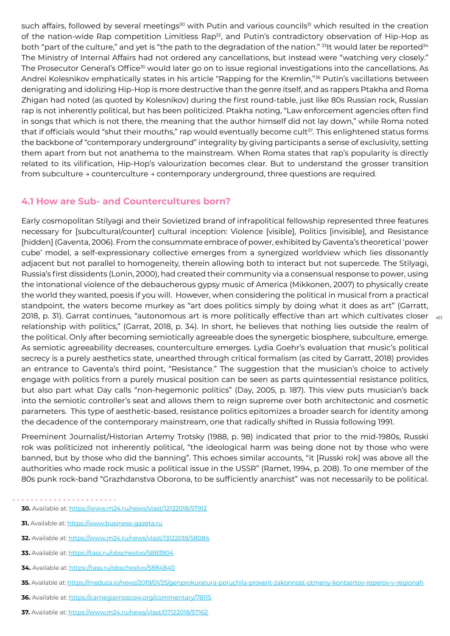such affairs, followed by several meetings<sup>30</sup> with Putin and various councils<sup>31</sup> which resulted in the creation of the nation-wide Rap competition Limitless Rap<sup>32</sup>, and Putin's contradictory observation of Hip-Hop as both "part of the culture," and yet is "the path to the degradation of the nation." 33It would later be [reported](https://tass.ru/obschestvo/5884840)<sup>34</sup> The Ministry of Internal Affairs had not ordered any cancellations, but instead were "[watching very closely](https://tass.ru/obschestvo/5883904)." The [Prosecutor General's Office](https://meduza.io/news/2019/01/25/genprokuratura-poruchila-proverit-zakonnost-otmeny-kontsertov-reperov-v-regionah)<sup>35</sup> would later go on to issue regional investigations into the cancellations. As Andrei Kolesnikov emphatically states in his article ["Rapping for the Kremlin](https://carnegiemoscow.org/commentary/78115),"36 Putin's vacillations between denigrating and idolizing Hip-Hop is more destructive than the genre itself, and as rappers Ptakha and Roma Zhigan had noted (as quoted by Kolesnikov) during the first round-table, just like 80s Russian rock, Russian rap is not inherently political, but has been politicized. Ptakha noting, "Law enforcement agencies often find in songs that which is not there, the meaning that the author himself did not lay down," while Roma noted that if officials would "shut their mouths," rap would eventually become cult<sup>37</sup>. This enlightened status forms the backbone of "contemporary underground" integrality by giving participants a sense of exclusivity, setting them apart from but not anathema to the mainstream. When Roma states that rap's popularity is directly related to its vilification, Hip-Hop's valourization becomes clear. But to understand the grosser transition from subculture → counterculture → contemporary underground, three questions are required.

#### **4.1 How are Sub- and Countercultures born?**

[2018,](https://www.amazon.co.uk/Music-Politics-Introduction-Cambridge-Introductions/dp/1107681081) p. 31). Garrat continues, "autonomous art is more politically effective than art which cultivates closer  $_{\rm 4H}$ Early cosmopolitan Stilyagi and their Sovietized brand of infrapolitical fellowship represented three features necessary for [subcultural/counter] cultural inception: Violence [visible], Politics [invisible], and Resistance [hidden] ([Gaventa, 200](https://www.powercube.net/wp-content/uploads/2009/12/finding_spaces_for_change.pdf)6). From the consummate embrace of power, exhibited by Gaventa's theoretical 'power cube' model, a self-expressionary collective emerges from a synergized worldview which lies dissonantly adjacent but not parallel to homogeneity, therein allowing both to interact but not supercede. The Stilyagi, Russia's first dissidents [\(Lonin, 2000](https://www.gumer.info/bibliotek_Buks/Sociolog/Ionin/_06_1.php)), had created their community via a consensual response to power, using the intonational violence of the debaucherous gypsy music of America ([Mikkonen, 2007\)](https://jyx.jyu.fi/bitstream/handle/123456789/13463/9789513930158.pdf) to physically create the world they wanted, poesis if you will. However, when considering the political in musical from a practical standpoint, the waters become murkey as "art does politics simply by doing what it does as art" [\(Garratt,](https://www.amazon.co.uk/Music-Politics-Introduction-Cambridge-Introductions/dp/1107681081)  relationship with politics," (Garrat, 2018, p. 34). In short, he believes that nothing lies outside the realm of the political. Only after becoming semiotically agreeable does the synergetic biosphere, subculture, emerge. As semiotic agreeability decreases, counterculture emerges. Lydia Goehr's evaluation that music's political secrecy is a purely aesthetics state, unearthed through critical formalism (as cited by Garratt, 2018) provides an entrance to Gaventa's third point, "Resistance." The suggestion that the musician's choice to actively engage with politics from a purely musical position can be seen as parts quintessential resistance politics, but also part what Day calls "non-hegemonic politics" (Day, [2005](https://we.riseup.net/assets/71288/richard-day-gramsci-is-dead.pdf), p. 187). This view puts musician's back into the semiotic controller's seat and allows them to reign supreme over both architectonic and cosmetic parameters. This type of aesthetic-based, resistance politics epitomizes a broader search for identity among the decadence of the contemporary mainstream, one that radically shifted in Russia following 1991.

Preeminent Journalist/Historian Artemy Trotsky ([1988, p. 98\)](https://archive.org/details/backinussrtruest00troit/page/98/mode/2up?q=subcultural) indicated that prior to the mid-1980s, Russki rok was politicized not inherently political, "the ideological harm was being done not by those who were banned, but by those who did the banning". This echoes similar accounts, "it [Russki rok] was above all the authorities who made rock music a political issue in the USSR" [\(Ramet, 1994, p. 208\)](https://books.google.com/books?id=pK2bDwAAQBAJ&pg=PT186&lpg=PT186&dq=%22the+authorities+who+made+rock+music+a+political+issue+in+the+USSR%22&source=bl&ots=ju48G0SS4V&sig=ACfU3U0uyTYbdXWmDqQNeg3-wyXQmqV0sA&hl=ru&sa=X&ved=2ahUKEwjYyJ3t6p3xAhXKVs0KHcRvBfIQ6AEwAXoECAIQAw). To one member of the 80s punk rock-band "Grazhdanstva Oborona, to be sufficiently anarchist" was not necessarily to be political.

**<sup>30.</sup>** Available at: https://www.m24.ru/news/vlast/12122018/57912

**<sup>31.</sup>** Available at: [https://www.business-gazeta.ru](https://www.business-gazeta.ru/news/406431)

**<sup>32.</sup>** Available at: https://www.m24.ru/news/vlast/13122018/58084

**<sup>33.</sup>** Available at: https://tass.ru/obschestvo/5883904

**<sup>34.</sup>** Available at: https://tass.ru/obschestvo/5884840

**<sup>35.</sup>** Available at: https://meduza.io/news/2019/01/25/genprokuratura-poruchila-proverit-zakonnost-otmeny-kontsertov-reperov-v-regionah

**<sup>36.</sup>** Available at: https://carnegiemoscow.org/commentary/78115

**<sup>37.</sup>** Available at: https://www.m24.ru/news/vlast/07122018/57162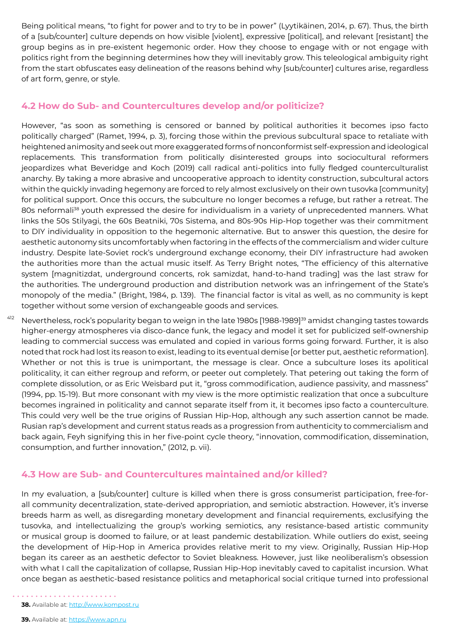Being political means, "to fight for power and to try to be in power" (Lyytikäinen, 2014, p. 67). Thus, the birth of a [sub/counter] culture depends on how visible [violent], expressive [political], and relevant [resistant] the group begins as in pre-existent hegemonic order. How they choose to engage with or not engage with politics right from the beginning determines how they will inevitably grow. This teleological ambiguity right from the start obfuscates easy delineation of the reasons behind why [sub/counter] cultures arise, regardless of art form, genre, or style.

#### **4.2 How do Sub- and Countercultures develop and/or politicize?**

However, "as soon as something is censored or banned by political authorities it becomes ipso facto politically charged" (Ramet, 1994, p. 3), forcing those within the previous subcultural space to retaliate with heightened animosity and seek out more exaggerated forms of nonconformist self-expression and ideological replacements. This transformation from politically disinterested groups into sociocultural reformers jeopardizes what Beveridge and Koch (2019) call radical anti-politics into fully fledged counterculturalist anarchy. By taking a more abrasive and uncooperative approach to identity construction, subcultural actors within the quickly invading hegemony are forced to rely almost exclusively on their own tusovka [community] for political support. Once this occurs, the subculture no longer becomes a refuge, but rather a retreat. The 80s neformali<sup>38</sup> youth expressed the desire for individualism in a variety of unprecedented manners. What links the 50s Stilyagi, the 60s Beatniki, 70s Sistema, and 80s-90s Hip-Hop together was their commitment to DIY individuality in opposition to the hegemonic alternative. But to answer this question, the desire for aesthetic autonomy sits uncomfortably when factoring in the effects of the commercialism and wider culture industry. Despite late-Soviet rock's underground exchange economy, their DIY infrastructure had awoken the authorities more than the actual music itself. As Terry Bright notes, "The efficiency of this alternative system [magnitizdat, underground concerts, rok samizdat, hand-to-hand trading] was the last straw for the authorities. The underground production and distribution network was an infringement of the State's monopoly of the media." (Bright, 1984, p. 139). The financial factor is vital as well, as no community is kept together without some version of exchangeable goods and services.

412 Nevertheless, rock's popularity began to weign in the late 1980s [1988-1989]<sup>39</sup> amidst changing tastes towards higher-energy atmospheres via disco-dance funk, the legacy and model it set for publicized self-ownership leading to commercial success was emulated and copied in various forms going forward. Further, it is also noted that rock had lost its reason to exist, leading to its eventual demise [or better put, aesthetic reformation]. Whether or not this is true is unimportant, the message is clear. Once a subculture loses its apolitical politicality, it can either regroup and reform, or peeter out completely. That petering out taking the form of complete dissolution, or as Eric Weisbard put it, "gross commodification, audience passivity, and massness" ([1994](http://scholar.google.com/citations?user=ox0wTykAAAAJ&hl=en), pp. 15-19). But more consonant with my view is the more optimistic realization that once a subculture becomes ingrained in politicality and cannot separate itself from it, it becomes ipso facto a counterculture. This could very well be the true origins of Russian Hip-Hop, although any such assertion cannot be made. Rusian rap's development and current status reads as a progression from authenticity to commercialism and back again, Feyh signifying this in her five-point cycle theory, "innovation, commodification, dissemination, consumption, and further innovation," (2012, p. vii).

#### **4.3 How are Sub- and Countercultures maintained and/or killed?**

In my evaluation, a [sub/counter] culture is killed when there is gross consumerist participation, free-forall community decentralization, state-derived appropriation, and semiotic abstraction. However, it's inverse breeds harm as well, as disregarding monetary development and financial requirements, exclusifying the tusovka, and intellectualizing the group's working semiotics, any resistance-based artistic community or musical group is doomed to failure, or at least pandemic destabilization. While outliers do exist, seeing the development of Hip-Hop in America provides relative merit to my view. Originally, Russian Hip-Hop began its career as an aesthetic defector to Soviet bleakness. However, just like neoliberalism's obsession with what I call the capitalization of collapse, Russian Hip-Hop inevitably caved to capitalist incursion. What once began as aesthetic-based resistance politics and metaphorical social critique turned into professional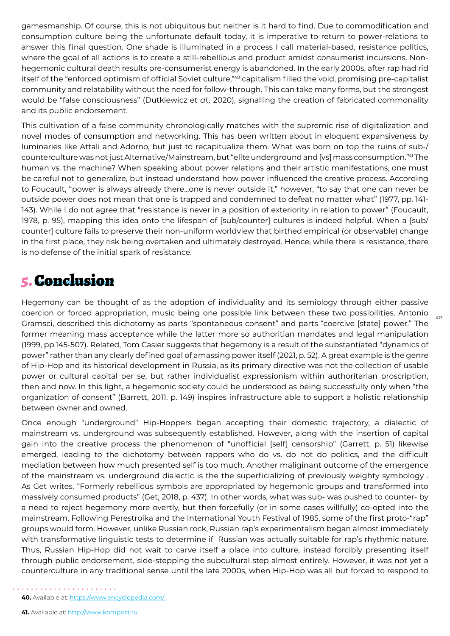gamesmanship. Of course, this is not ubiquitous but neither is it hard to find. Due to commodification and consumption culture being the unfortunate default today, it is imperative to return to power-relations to answer this final question. One shade is illuminated in a process I call material-based, resistance politics, where the goal of all actions is to create a still-rebellious end product amidst consumerist incursions. Nonhegemonic cultural death results pre-consumerist energy is abandoned. In the early 2000s, after rap had rid itself of the "enforced optimism of official Soviet culture,"<sup>40</sup> capitalism filled the void, promising pre-capitalist community and relatability without the need for follow-through. This can take many forms, but the strongest would be "false consciousness" [\(Dutkiewicz et](https://www.taylorfrancis.com/books/edit/10.4324/9781003037231/hegemony-world-order-piotr-dutkiewicz-tom-casier-jan-aart-scholte) *al.,* 2020), signalling the creation of fabricated commonality and its public endorsement.

This cultivation of a false community chronologically matches with the supremic rise of digitalization and novel modes of consumption and networking. This has been written about in eloquent expansiveness by luminaries like Attali and Adorno, but just to recapitualize them. What was born on top the ruins of sub-/ counterculture was not just Alternative/Mainstream, but "elite underground and [vs] mass consumption."41 The human vs. the machine? When speaking about power relations and their artistic manifestations, one must be careful not to generalize, but instead understand how power influenced the creative process. According to Foucault, "power is always already there...one is never outside it," however, "to say that one can never be outside power does not mean that one is trapped and condemned to defeat no matter what" [\(1977](https://monoskop.org/images/5/5d/Foucault_Michel_Power_Knowledge_Selected_Interviews_and_Other_Writings_1972-1977.pdf), pp. 141- 143). While I do not agree that "resistance is never in a position of exteriority in relation to power" (Foucault, 1978, p. 95), mapping this idea onto the lifespan of [sub/counter] cultures is indeed helpful. When a [sub/ counter] culture fails to preserve their non-uniform worldview that birthed empirical (or observable) change in the first place, they risk being overtaken and ultimately destroyed. Hence, while there is resistance, there is no defense of the initial spark of resistance.

# 5. Conclusion

Hegemony can be thought of as the adoption of individuality and its semiology through either passive coercion or forced appropriation, music being one possible link between these two possibilities. Antonio Gramsci, described this dichotomy as parts "spontaneous consent" and parts "coercive [state] power." The former meaning mass acceptance while the latter more so authoritian mandates and legal manipulation (1999, pp.145-507). Related, Tom Casier suggests that hegemony is a result of the substantiated "dynamics of power" rather than any clearly defined goal of amassing power itself (2021, p. 52). A great example is the genre of Hip-Hop and its historical development in Russia, as its primary directive was not the collection of usable power or cultural capital per se, but rather individualist expressionism within authoritarian proscription, then and now. In this light, a hegemonic society could be understood as being successfully only when "the organization of consent" [\(Barrett, 2011](https://analepsis.files.wordpress.com/2011/08/415_mapping-ideology-slavoj-zizek.pdf), p. 149) inspires infrastructure able to support a holistic relationship between owner and owned.

 $413$ 

Once enough "underground" Hip-Hoppers began accepting their domestic trajectory, a dialectic of mainstream vs. underground was subsequently established. However, along with the insertion of capital gain into the creative process the phenomenon of "unofficial [self] censorship" (Garrett, p. 51) likewise emerged, leading to the dichotomy between rappers who do vs. do not do politics, and the difficult mediation between how much presented self is too much. Another maliginant outcome of the emergence of the mainstream vs. underground dialectic is the the superficializing of previously weighty symbology . As Get writes, "Formerly rebellious symbols are appropriated by hegemonic groups and transformed into massively consumed products" (Get, 2018, p. 437). In other words, what was sub- was pushed to counter- by a need to reject hegemony more overtly, but then forcefully (or in some cases willfully) co-opted into the mainstream. Following Perestroika and the International Youth Festival of 1985, some of the first proto-"rap" groups would form. However, unlike Russian rock, Russian rap's experimentalism began almost immediately with transformative linguistic tests to determine if Russian was actually suitable for rap's rhythmic nature. Thus, Russian Hip-Hop did not wait to carve itself a place into culture, instead forcibly presenting itself through public endorsement, side-stepping the subcultural step almost entirely. However, it was not yet a counterculture in any traditional sense until the late 2000s, when Hip-Hop was all but forced to respond to

**<sup>40.</sup>** Available at: <https://www.encyclopedia.com/>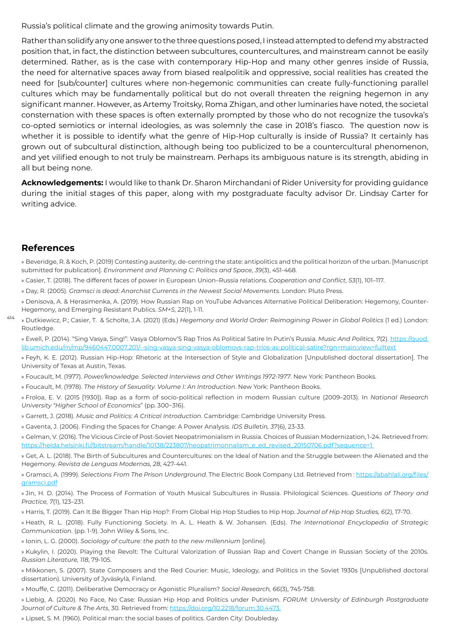Russia's political climate and the growing animosity towards Putin.

Rather than solidify any one answer to the three questions posed, I instead attempted to defend my abstracted position that, in fact, the distinction between subcultures, countercultures, and mainstream cannot be easily determined. Rather, as is the case with contemporary Hip-Hop and many other genres inside of Russia, the need for alternative spaces away from biased realpolitik and oppressive, social realities has created the need for [sub/counter] cultures where non-hegemonic communities can create fully-functioning parallel cultures which may be fundamentally political but do not overall threaten the reigning hegemon in any significant manner. However, as Artemy Troitsky, Roma Zhigan, and other luminaries have noted, the societal consternation with these spaces is often externally prompted by those who do not recognize the tusovka's co-opted semiotics or internal ideologies, as was solemnly the case in 2018's fiasco. The question now is whether it is possible to identify what the genre of Hip-Hop culturally is inside of Russia? It certainly has grown out of subcultural distinction, although being too publicized to be a countercultural phenomenon, and yet vilified enough to not truly be mainstream. Perhaps its ambiguous nature is its strength, abiding in all but being none.

**Acknowledgements:** I would like to thank Dr. Sharon Mirchandani of Rider University for providing guidance during the initial stages of this paper, along with my postgraduate faculty advisor Dr. Lindsay Carter for writing advice.

#### **References**

» Beveridge, R. & Koch, P. (2019) Contesting austerity, de-centring the state: antipolitics and the political horizon of the urban. [Manuscript submitted for publication]. *Environment and Planning C: Politics and Space*, *39*(3), 451-468.

- » Casier, T. (2018). The different faces of power in European Union–Russia relations. *Cooperation and Conflict, 53*(1), 101–117.
- » Day, R. (2005). *Gramsci is dead: Anarchist Currents in the Newest Social Movements*. London: Pluto Press.
- » Denisova, A. & Herasimenka, A. (2019). How Russian Rap on YouTube Advances Alternative Political Deliberation: Hegemony, Counter-Hegemony, and Emerging Resistant Publics. *SM+S, 22*(1), 1-11.
- 414 » Dutkiewicz, P.; Casier, T. & Scholte, J.A. (2021) (Eds.) *Hegemony and World Order: Reimagining Power in Global Politics* (1 ed.) London: Routledge.

» Ewell, P. (2014). "Sing Vasya, Sing!": Vasya Oblomov'S Rap Trios As Political Satire In Putin's Russia. *Music And Politics*, *7*(2). https://quod. lib.umich.edu/m/mp/9460447.0007.201/--sing-vasya-sing-vasya-oblomovs-rap-trios-as-political-satire?rgn=main;view=fulltext

» Feyh, K. E. (2012). Russian Hip-Hop: Rhetoric at the Intersection of Style and Globalization [Unpublished doctoral dissertation]. The University of Texas at Austin, Texas.

» Foucault, M. (1977). *Power/knowledge. Selected Interviews and Other Writings 1972-1977*. New York: Pantheon Books.

» Foucault, M. (1978). *The History of Sexuality. Volume I: An Introduction*. New York: Pantheon Books.

» Froloa, E. V. (2015 [1930]). Rap as a form of socio-political reflection in modern Russian culture (2009–2013). In *National Research University "Higher School of Economics*" (pp. 300−316).

- » Garrett, J. (2018). *Music and Politics: A Critical Introduction*. Cambridge: Cambridge University Press.
- » Gaventa, J. (2006). Finding the Spaces for Change: A Power Analysis. *IDS Bull*et*in, 37*(6), 23-33.

» Gelman, V. (2016). The Vicious Circle of Post-Soviet Neopatrimonialism in Russia. Choices of Russian Modernization, 1-24. Retrieved from: https://helda.helsinki.fi//bitstream/handle/10138/223807/neopatrimonnalism\_e\_ed\_revised\_20150706.pdf?sequence=1

» Get, A. L. (2018). The Birth of Subcultures and Countercultures: on the Ideal of Nation and the Struggle between the Alienated and the Hegemony. *Revista de Lenguas Modernas, 28*, 427-441.

» Gramsci, A. (1999). *Selections From The Prison Underground*. The Electric Book Company Ltd. Retrieved from : https://abahlali.org/files/ gramsci.pdf

» Jin, H. D. (2014). The Process of Formation of Youth Musical Subcultures in Russia. Philological Sciences. *Questions of Theory and Practice, 7*(1), 123–231.

» Harris, T. (2019). Can It Be Bigger Than Hip Hop?: From Global Hip Hop Studies to Hip Hop. *Journal of Hip Hop Studies, 6*(2), 17-70.

» Heath, R. L. (2018). Fully Functioning Society. In A. L. Heath & W. Johansen. (Eds). *The International Encyclopedia of Strategic Communication*. (pp. 1-9). John Wiley & Sons, Inc.

- » Ionin, L. G. (2000). *Sociology of culture: the path to the new millennium* [online].
- » Kukylin, I. (2020). Playing the Revolt: The Cultural Valorization of Russian Rap and Covert Change in Russian Society of the 2010s. *Russian Literature, 118*, 79-105.

» Mikkonen, S. (2007). State Composers and the Red Courier: Music, Ideology, and Politics in the Soviet 1930s [Unpublished doctoral dissertation). University of Jyväskylä, Finland.

» Mouffe, C. (2011). Deliberative Democracy or Agonistic Pluralism? *Social Research, 66*(3), 745-758.

» Liebig, A. (2020). No Face, No Case: Russian Hip Hop and Politics under Putinism. *FORUM: University of Edinburgh Postgraduate Journal of Culture & The Arts*, 30. Retrieved from: https://doi.org/10.2218/forum.30.4473.

» Lipset, S. M. (1960). Political man: the social bases of politics. Garden City: Doubleday.